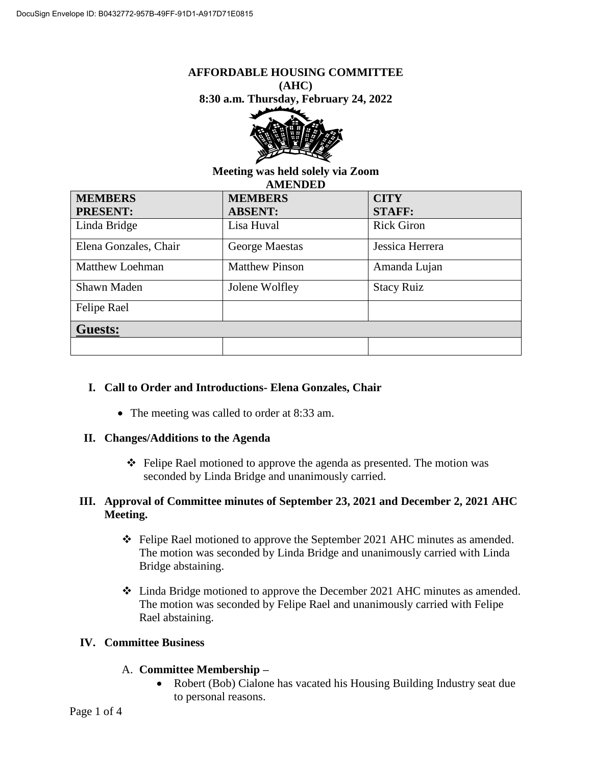#### **AFFORDABLE HOUSING COMMITTEE (AHC)**

**8:30 a.m. Thursday, February 24, 2022**



#### **Meeting was held solely via Zoom AMENDED**

| <b>MEMBERS</b>         | <b>MEMBERS</b>        | <b>CITY</b>       |
|------------------------|-----------------------|-------------------|
| <b>PRESENT:</b>        | <b>ABSENT:</b>        | <b>STAFF:</b>     |
| Linda Bridge           | Lisa Huval            | <b>Rick Giron</b> |
| Elena Gonzales, Chair  | George Maestas        | Jessica Herrera   |
| <b>Matthew Loehman</b> | <b>Matthew Pinson</b> | Amanda Lujan      |
| Shawn Maden            | Jolene Wolfley        | <b>Stacy Ruiz</b> |
| Felipe Rael            |                       |                   |
| <b>Guests:</b>         |                       |                   |
|                        |                       |                   |

## **I. Call to Order and Introductions- Elena Gonzales, Chair**

• The meeting was called to order at 8:33 am.

## **II. Changes/Additions to the Agenda**

 $\triangle$  Felipe Rael motioned to approve the agenda as presented. The motion was seconded by Linda Bridge and unanimously carried.

## **III. Approval of Committee minutes of September 23, 2021 and December 2, 2021 AHC Meeting.**

- Felipe Rael motioned to approve the September 2021 AHC minutes as amended. The motion was seconded by Linda Bridge and unanimously carried with Linda Bridge abstaining.
- Linda Bridge motioned to approve the December 2021 AHC minutes as amended. The motion was seconded by Felipe Rael and unanimously carried with Felipe Rael abstaining.

## **IV. Committee Business**

## A. **Committee Membership –**

 Robert (Bob) Cialone has vacated his Housing Building Industry seat due to personal reasons.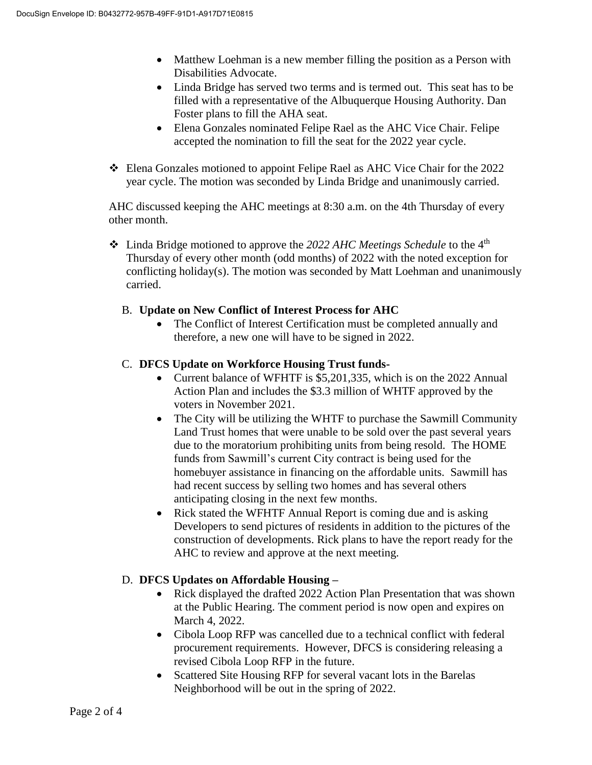- Matthew Loehman is a new member filling the position as a Person with Disabilities Advocate.
- Linda Bridge has served two terms and is termed out. This seat has to be filled with a representative of the Albuquerque Housing Authority. Dan Foster plans to fill the AHA seat.
- Elena Gonzales nominated Felipe Rael as the AHC Vice Chair. Felipe accepted the nomination to fill the seat for the 2022 year cycle.
- Elena Gonzales motioned to appoint Felipe Rael as AHC Vice Chair for the 2022 year cycle. The motion was seconded by Linda Bridge and unanimously carried.

AHC discussed keeping the AHC meetings at 8:30 a.m. on the 4th Thursday of every other month.

 Linda Bridge motioned to approve the *2022 AHC Meetings Schedule* to the 4th Thursday of every other month (odd months) of 2022 with the noted exception for conflicting holiday(s). The motion was seconded by Matt Loehman and unanimously carried.

## B. **Update on New Conflict of Interest Process for AHC**

• The Conflict of Interest Certification must be completed annually and therefore, a new one will have to be signed in 2022.

## C. **DFCS Update on Workforce Housing Trust funds-**

- Current balance of WFHTF is \$5,201,335, which is on the 2022 Annual Action Plan and includes the \$3.3 million of WHTF approved by the voters in November 2021.
- The City will be utilizing the WHTF to purchase the Sawmill Community Land Trust homes that were unable to be sold over the past several years due to the moratorium prohibiting units from being resold. The HOME funds from Sawmill's current City contract is being used for the homebuyer assistance in financing on the affordable units. Sawmill has had recent success by selling two homes and has several others anticipating closing in the next few months.
- Rick stated the WFHTF Annual Report is coming due and is asking Developers to send pictures of residents in addition to the pictures of the construction of developments. Rick plans to have the report ready for the AHC to review and approve at the next meeting.

## D. **DFCS Updates on Affordable Housing –**

- Rick displayed the drafted 2022 Action Plan Presentation that was shown at the Public Hearing. The comment period is now open and expires on March 4, 2022.
- Cibola Loop RFP was cancelled due to a technical conflict with federal procurement requirements. However, DFCS is considering releasing a revised Cibola Loop RFP in the future.
- Scattered Site Housing RFP for several vacant lots in the Barelas Neighborhood will be out in the spring of 2022.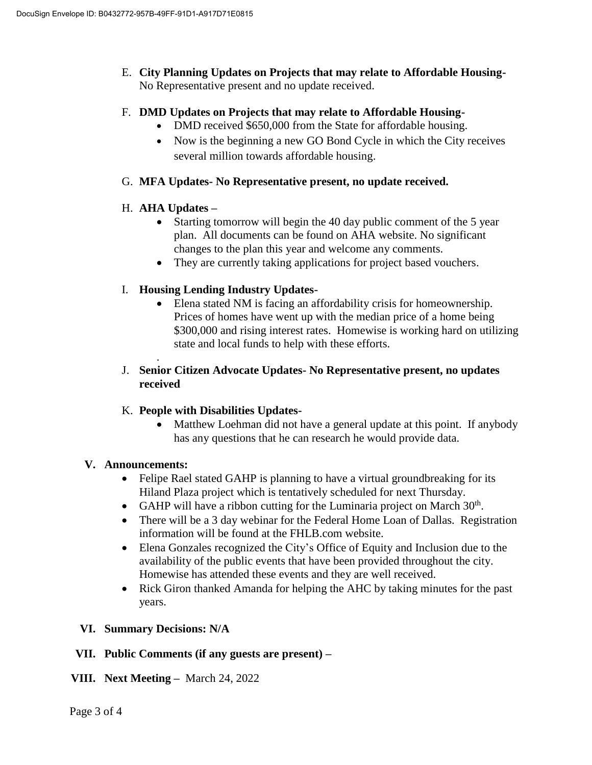E. **City Planning Updates on Projects that may relate to Affordable Housing-**No Representative present and no update received.

### F. **DMD Updates on Projects that may relate to Affordable Housing-**

- DMD received \$650,000 from the State for affordable housing.
- Now is the beginning a new GO Bond Cycle in which the City receives several million towards affordable housing.
- G. **MFA Updates- No Representative present, no update received.**

### H. **AHA Updates –**

.

- Starting tomorrow will begin the 40 day public comment of the 5 year plan. All documents can be found on AHA website. No significant changes to the plan this year and welcome any comments.
- They are currently taking applications for project based vouchers.

### I. **Housing Lending Industry Updates-**

 Elena stated NM is facing an affordability crisis for homeownership. Prices of homes have went up with the median price of a home being \$300,000 and rising interest rates. Homewise is working hard on utilizing state and local funds to help with these efforts.

### J. **Senior Citizen Advocate Updates- No Representative present, no updates received**

## K. **People with Disabilities Updates-**

• Matthew Loehman did not have a general update at this point. If anybody has any questions that he can research he would provide data.

#### **V. Announcements:**

- Felipe Rael stated GAHP is planning to have a virtual groundbreaking for its Hiland Plaza project which is tentatively scheduled for next Thursday.
- GAHP will have a ribbon cutting for the Luminaria project on March  $30<sup>th</sup>$ .
- There will be a 3 day webinar for the Federal Home Loan of Dallas. Registration information will be found at the FHLB.com website.
- Elena Gonzales recognized the City's Office of Equity and Inclusion due to the availability of the public events that have been provided throughout the city. Homewise has attended these events and they are well received.
- Rick Giron thanked Amanda for helping the AHC by taking minutes for the past years.

#### **VI. Summary Decisions: N/A**

#### **VII. Public Comments (if any guests are present) –**

#### **VIII. Next Meeting –** March 24, 2022